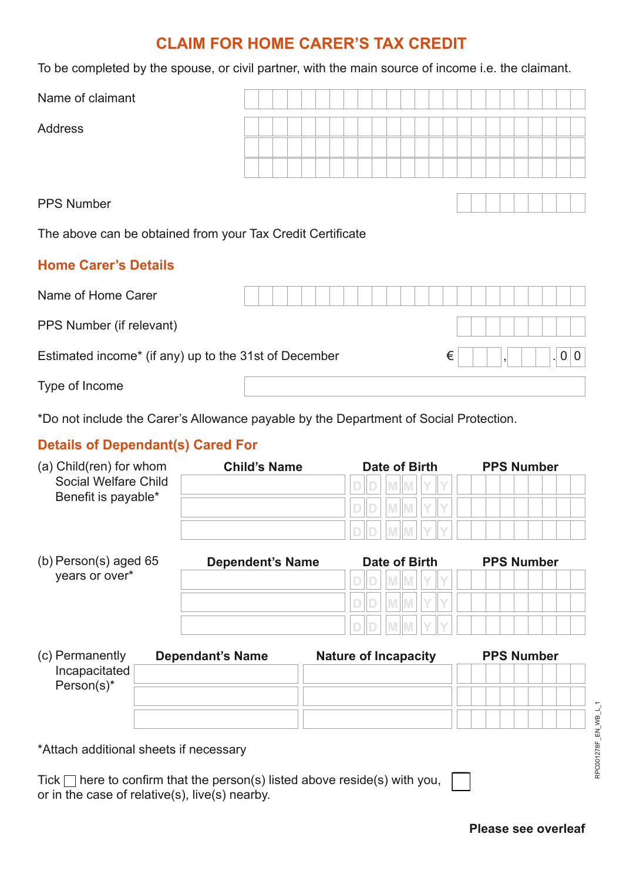# **CLAIM FOR HOME CARER'S TAX CREDIT**

To be completed by the spouse, or civil partner, with the main source of income i.e. the claimant.

| Name of claimant                                           |  |  |  |  |  |  |  |  |   |  |                |  |  |     |  |  |  |  |
|------------------------------------------------------------|--|--|--|--|--|--|--|--|---|--|----------------|--|--|-----|--|--|--|--|
| <b>Address</b>                                             |  |  |  |  |  |  |  |  |   |  |                |  |  |     |  |  |  |  |
|                                                            |  |  |  |  |  |  |  |  |   |  |                |  |  |     |  |  |  |  |
|                                                            |  |  |  |  |  |  |  |  |   |  |                |  |  |     |  |  |  |  |
| <b>PPS Number</b>                                          |  |  |  |  |  |  |  |  |   |  |                |  |  |     |  |  |  |  |
| The above can be obtained from your Tax Credit Certificate |  |  |  |  |  |  |  |  |   |  |                |  |  |     |  |  |  |  |
| <b>Home Carer's Details</b>                                |  |  |  |  |  |  |  |  |   |  |                |  |  |     |  |  |  |  |
| Name of Home Carer                                         |  |  |  |  |  |  |  |  |   |  |                |  |  |     |  |  |  |  |
| PPS Number (if relevant)                                   |  |  |  |  |  |  |  |  |   |  |                |  |  |     |  |  |  |  |
| Estimated income* (if any) up to the 31st of December      |  |  |  |  |  |  |  |  | € |  | $\overline{1}$ |  |  | 0 0 |  |  |  |  |
| Type of Income                                             |  |  |  |  |  |  |  |  |   |  |                |  |  |     |  |  |  |  |

\*Do not include the Carer's Allowance payable by the Department of Social Protection.

### **Details of Dependant(s) Cared For**

| (a) Child(ren) for whom                   | <b>Child's Name</b>     | Date of Birth              | <b>PPS Number</b> |
|-------------------------------------------|-------------------------|----------------------------|-------------------|
| Social Welfare Child                      |                         | ID<br><b>M</b> M<br>V<br>D |                   |
| Benefit is payable*                       |                         |                            |                   |
|                                           |                         |                            |                   |
| (b) Person(s) aged $65$<br>years or over* | <b>Dependent's Name</b> | Date of Birth              | <b>PPS Number</b> |
|                                           |                         |                            |                   |
|                                           |                         |                            |                   |
|                                           |                         |                            |                   |

| <b>Dependant's Name</b> | <b>Nature of Incapacity</b> | <b>PPS Number</b> |  |  |  |  |  |  |  |  |  |  |  |
|-------------------------|-----------------------------|-------------------|--|--|--|--|--|--|--|--|--|--|--|
|                         |                             |                   |  |  |  |  |  |  |  |  |  |  |  |
|                         |                             |                   |  |  |  |  |  |  |  |  |  |  |  |
|                         |                             |                   |  |  |  |  |  |  |  |  |  |  |  |
|                         |                             |                   |  |  |  |  |  |  |  |  |  |  |  |

\*Attach additional sheets if necessary

Tick  $\Box$  here to confirm that the person(s) listed above reside(s) with you, or in the case of relative(s), live(s) nearby.